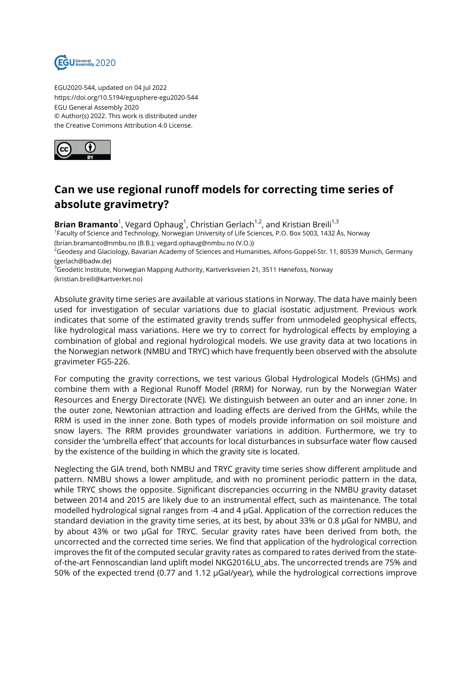

EGU2020-544, updated on 04 Jul 2022 https://doi.org/10.5194/egusphere-egu2020-544 EGU General Assembly 2020 © Author(s) 2022. This work is distributed under the Creative Commons Attribution 4.0 License.



## **Can we use regional runoff models for correcting time series of absolute gravimetry?**

**Brian Bramanto**<sup>1</sup>, Vegard Ophaug<sup>1</sup>, Christian Gerlach<sup>1,2</sup>, and Kristian Breili<sup>1,3</sup> 1 Faculty of Science and Technology, Norwegian University of Life Sciences, P.O. Box 5003, 1432 Ås, Norway (brian.bramanto@nmbu.no (B.B.); vegard.ophaug@nmbu.no (V.O.)) <sup>2</sup>Geodesy and Glaciology, Bavarian Academy of Sciences and Humanities, Alfons-Goppel-Str. 11, 80539 Munich, Germany (gerlach@badw.de)  $^3$ Geodetic Institute, Norwegian Mapping Authority, Kartverksveien 21, 3511 Hønefoss, Norway

(kristian.breili@kartverket.no)

Absolute gravity time series are available at various stations in Norway. The data have mainly been used for investigation of secular variations due to glacial isostatic adjustment. Previous work indicates that some of the estimated gravity trends suffer from unmodeled geophysical effects, like hydrological mass variations. Here we try to correct for hydrological effects by employing a combination of global and regional hydrological models. We use gravity data at two locations in the Norwegian network (NMBU and TRYC) which have frequently been observed with the absolute gravimeter FG5-226.

For computing the gravity corrections, we test various Global Hydrological Models (GHMs) and combine them with a Regional Runoff Model (RRM) for Norway, run by the Norwegian Water Resources and Energy Directorate (NVE). We distinguish between an outer and an inner zone. In the outer zone, Newtonian attraction and loading effects are derived from the GHMs, while the RRM is used in the inner zone. Both types of models provide information on soil moisture and snow layers. The RRM provides groundwater variations in addition. Furthermore, we try to consider the 'umbrella effect' that accounts for local disturbances in subsurface water flow caused by the existence of the building in which the gravity site is located.

Neglecting the GIA trend, both NMBU and TRYC gravity time series show different amplitude and pattern. NMBU shows a lower amplitude, and with no prominent periodic pattern in the data, while TRYC shows the opposite. Significant discrepancies occurring in the NMBU gravity dataset between 2014 and 2015 are likely due to an instrumental effect, such as maintenance. The total modelled hydrological signal ranges from -4 and 4 µGal. Application of the correction reduces the standard deviation in the gravity time series, at its best, by about 33% or 0.8 µGal for NMBU, and by about 43% or two µGal for TRYC. Secular gravity rates have been derived from both, the uncorrected and the corrected time series. We find that application of the hydrological correction improves the fit of the computed secular gravity rates as compared to rates derived from the stateof-the-art Fennoscandian land uplift model NKG2016LU\_abs. The uncorrected trends are 75% and 50% of the expected trend (0.77 and 1.12 µGal/year), while the hydrological corrections improve